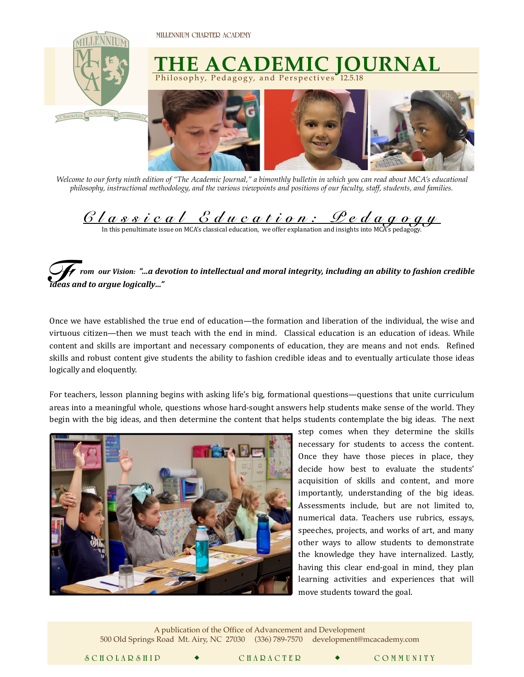**MILLENNIUM CHARTER ACADEMY** 



*Welcome to our forty ninth edition of "The Academic Journal," a bimonthly bulletin in which you can read about MCA's educational philosophy, instructional methodology, and the various viewpoints and positions of our faculty, staff, students, and families.* 

 $\underline{C\,l\,a\,s\,s\,i\,c\,a\,l\,c\,d\,l\,c\,a\,l\,c\,a\,t\,i\,c\,a}}$  *Latter*  $\underline{C\,l\,a\,c\,c\,d\,a\,g\,c\,g\,u}$  .  $\underline{D\,e\,d\,a\,g\,c\,g\,u}$ 

 *rom our Vision: "…a devotion to intellectual and moral integrity, including an ability to fashion credible ideas and to argue logically..."* 

Once we have established the true end of education—the formation and liberation of the individual, the wise and virtuous citizen—then we must teach with the end in mind. Classical education is an education of ideas. While content and skills are important and necessary components of education, they are means and not ends. Refined skills and robust content give students the ability to fashion credible ideas and to eventually articulate those ideas logically and eloquently.

For teachers, lesson planning begins with asking life's big, formational questions—questions that unite curriculum areas into a meaningful whole, questions whose hard-sought answers help students make sense of the world. They begin with the big ideas, and then determine the content that helps students contemplate the big ideas. The next



 $\mathcal{L} = \frac{1}{2}$ 

step comes when they determine the skills necessary for students to access the content. Once they have those pieces in place, they decide how best to evaluate the students' acquisition of skills and content, and more importantly, understanding of the big ideas. Assessments include, but are not limited to, numerical data. Teachers use rubrics, essays, speeches, projects, and works of art, and many other ways to allow students to demonstrate the knowledge they have internalized. Lastly, having this clear end-goal in mind, they plan learning activities and experiences that will move students toward the goal.

A publication of the Office of Advancement and Development 500 Old Springs Road Mt. Airy, NC 27030 (336) 789-7570 [development@mcacademy.com](mailto:advancementanddevelopment@mcacademy.com)